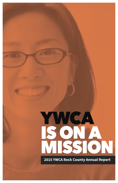# WEAN SON

**2015 YWCA Rock County Annual Report**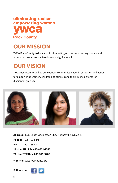# eliminating racism empowering women **MCS 5ock &ounty**

# **OUR MISSION**

YWCA Rock County is dedicated to eliminating racism, empowering women and promoting peace, justice, freedom and dignity for all.

# **OUR VISION**

YWCA Rock County will be our county's community leader in education and action for empowering women, children and families and the influencing force for dismantling racism.



**Address:** 1735 South Washington Street, Janesville, WI 53546 **Phone:** 608-752-5445 **Fax:** 608-755-4743 **24 Hour HELPline 608-752-2583 24 Hour TEXTline 608-371-9288**

**Website:** ywcarockcounty.org

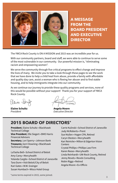

**A MESSAGE FROM THE BOARD PRESIDENT AND EXECUTIVE DIRECTOR**

The YWCA Rock County is ON A MISSION and 2015 was an incredible year for us.

With our community partners, board and staff, we were able to continue to serve some of the most vulnerable in our community. Our powerful mission is, "eliminating racism and empowering women".

We serve the community through five critical programs to effect change and improve the lives of many. We invite you to take a look through these pages to see the work that we have done to help a child heal from abuse, provide a family with affordable and quality day care, assist a woman who is fleeing her abuser and to find stable housing, and to help immigrants integrate into our community.

As we continue our journey to provide these quality programs and services, none of this would be possible without your support! Thank you for your support of YWCA Rock County.

Elsine Sr

**Elaine Schultz Angela Moore**

President Executive Director

## **2015 BOARD OF DIRECTORS\***

**President**, Elaine Schultz • Blackhawk Technical College **Vice President**, Elle Siegert • BMO Harris Financial Advisors **Secretary**, Lori Sperry • Johnson Bank **Treasurer,** Gerri Downing • Blackhawk Technical College LaTasha Bell • School District of Beloit Amy Carey • Mercyhealth Yolanda Cargile • School District of Janesville Tara Dunn • Visit Beloit/City of Beloit Kari Gates • W.W. Grainger Susan Humbach • Wisco Hotel Group

Carrie Kulinski • School District of Janesville Judy McRoberts • Prent Sue Mullen • Hagen CPA, Retired Caryn Oleston • Mercyhealth Kari Reinicke • Milton & Edgerton Vision **Centers** Crystal Phillips • Phillips Law Firm Karen Reese • Mercyhealth Linda Reinhardt • UW-Rock County, Retired Jenny Revels • Revels Consulting Robin Riggs • Retired Angela Moore • Ex-Officio

\*some terms expired in 2015, some joined. 3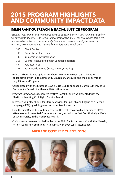# **2015 PROGRAM HIGHLIGHTS AND COMMUNITY IMPACT DATA**

#### **IMMIGRANT OUTREACH & RACIAL JUSTICE PROGRAM**

Assisting local immigrants with language and cultural barriers, and serving as a safety net for victims of crime. The Racial Justice Program is one of the core values of the YWCA and we strive to live that out externally, in our social and community services, and internally in our operations. \*Data is for Immigrant Outreach only.

- 506 Client Contacts
- 45 Domestic Violence Cases
- 92 Immigration/Naturalization
- 367 Clients Received Help With Language Barriers
- 494 Volunteer Hours
- 47 Basic Needs Served (Food/Shelter/Clothing)
- Held a Citizenship Recognition Luncheon in May for 40 new U.S. citizens in collaboration with Faith Community Church of Janesville and their Immigration Legal Services Program.
- Collaborated with the Stateline Boys & Girls Club to sponsor a Martin Luther King Jr. Community Breakfast with over 120 in attendance.
- Program Director was recognized by UAW Local 95 and was presented with the Martin Luther King Civil Rights Service Award.
- Increased volunteer hours for literacy services for Spanish and English as a Second Language (ESL) by adding a second volunteer instructor.
- Held the first Racial Justice Conference in November to a sold out audience of 230 attendees and presented Community Action, Inc. with the first Dorothy Height Racial Justice Diversity in the Workplace Award.
- Co-Sponsored an event called "Allies in the Fight for Racial Justice" with the Diversity Action Team and Community Action, Inc., with over 125 in attendance.

## **AVERAGE COST PER CLIENT: \$136**





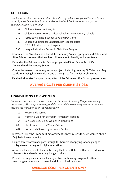## **CHILD CARE**

Enriching education and socialization of children ages 3-5, serving local families for more than 29 years! School Age Programs, Before & After School, non-school days, and Summer Discovery Day Camp.

- 31 Children Served in Pre-K/P4J
- 757 Children Served Before & After School in 12 Elementary schools
- 172 Participated in Non-school Days and Day Camp
- 86 Children Qualified for Scholarships/Reduced Rates (15% of Students in our Program)
- 793 Unique Individuals Served in Child Care Program
- Continued the "You, Me and a Colorful Community" reading program and Before and After School programs that teaches children about diversity and acceptance.
- Expanded the Before and After School program to Milton School District's Consolidated Elementary School.
- Conducted several community service projects including creating St. Valentine's Day cards for nursing home residents and a Giving Tree for families at Christmas.
- Received a four star Youngstar rating at two of the Before and After School program sites.

## **AVERAGE COST PER CLIENT: \$1,036**

#### **TRANSITIONS FOR WOMEN**

Our women's Economic Empowerment and Permanent Housing Program providing apartments, skill and job training, and domestic violence recovery services to women making the transition to an independent life.

- 19 Households Served
- 56 Women & Children Served in Permanent Housing
- 64 New Jobs Secured by Women in Transitions
- 689 Client Hours used in Women's Center
- 404 Households Served by Women's Center
- Increased using the Economic Empowerment Center by 50% to assist women obtain 64 jobs in the community.
- Helped three women navigate through the barriers of applying for and going to college to earn a degree in higher education.
- Assisted a teenager with the ability to legally drive with help with driver's education classes, often a barrier for many indigent drivers.
- Provided a unique experience for six youth in our housing program to attend a weeklong summer camp to learn life skills and healthy eating.

#### **AVERAGE COST PER CLIENT: \$797**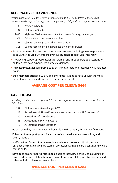#### **ALTERNATIVES TO VIOLENCE**

Assisting domestic violence victims in crisis, including a 33-bed shelter, food, clothing, personal needs, legal advocacy, case management, child-youth recovery services and more.

- 80 Women in Shelter
- 87 Children in Shelter
- 7440 Nights of Shelter (bedroom, kitchen access, laundry, showers, etc.)
	- 368 Crisis Calls to the 24-Hour Helpline
	- 57 Clients receiving Legal Advocacy Services
	- 111 Clients receiving Walk-in Domestic Violence services
- Staff became certified and presented a new program on dating violence prevention to all Janesville Craig 9<sup>th</sup> graders, over 400 students, called "Can I Kiss You?"
- Provided 95 support group sessions for women and 48 support group sessions for children that have experienced domestic violence.
- Increased volunteer staff from 8 to 36 active volunteers and recorded 4,449 volunteer hours.
- Staff members attended LGBTQ and civil rights training to keep up with the most current information and statistics to better serve our clients.

## **AVERAGE COST PER CLIENT: \$464**

## **CARE HOUSE**

Providing a child-centered approach to the investigation, treatment and prevention of child abuse.

- 194 Children Interviewed, ages 2-17
- 28 Sexual Assault Nurse Examiner cases attended by CARE House staff
- 130 Allegations of Sexual Abuse
- 45 Allegations of Physical Abuse
- 5 Allegations of Neglect/other
- Re-accredited by the National Children's Alliance in January for another five years.
- Enhanced the support groups for victims of abuse to include male victims, and LGBTQI youth.
- Staff obtained forensic interview training to better serve our child victims and enhance the multidisciplinary team of professionals that ensure a continuum of care for the child.
- Developed an after-hours protocol to be able to interview a child victim during nonbusiness hours in collaboration with law enforcement, child protective services and other multidisciplinary team members.

#### **AVERAGE COST PER CLIENT: \$284**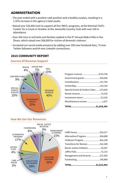#### **ADMINISTRATION**

- The year ended with a positive cash position and a healthy surplus, resulting in a 1.32% increase in the agency's total assets.
- Raised over \$35,600 (net) to support all five YWCA programs, at the biennial Chef's Cookin' for a Cause in October at the Janesville Country Club with over 250 in attendance.
- Over 200 men in red heels and families walked in the 9<sup>th</sup> Annual Walk A Mile in Her Shoes, which raised over \$66,600 for victims of domestic violence.
- Increased our social media presence by adding over 200 new Facebook fans, 73 new Twitter followers and 64 new Linkedin connections.

#### **2015 COMMUNITY REPORT**



| Miscellaneous income 1,627            |  |
|---------------------------------------|--|
|                                       |  |
|                                       |  |
| Special Events & Product Sales273,624 |  |
|                                       |  |
|                                       |  |
| Government grants456,628              |  |
| Program revenue \$735,728             |  |

#### **How We Use Our Resources**



| Management and General 272,383  |  |
|---------------------------------|--|
|                                 |  |
| Racial Justice Initiative54,267 |  |
| Transitions for Women322,348    |  |
| Childcare Program 602,138       |  |
| Alternatives Program 304,688    |  |
|                                 |  |

#### **Sources Of Revenue Support**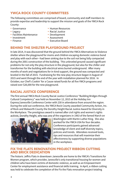#### **YWCA ROCK COUNTY COMMITTEES**

The following committees are comprised of board, community and staff members to provide expertise and leadership to support the mission and goals of the YWCA Rock County:

- 
- 
- Legacy Racial Justice • Facilities Maintenance<br>• Investment
- 
- 
- Governance  **Human Resources** 
	-
	-
- Investment Assessment
	- Executive Board

#### **BEHIND THE SHELTER PLAYGROUND PROJECT**

In late 2014, it was discovered that the ground behind the YWCA Alternatives to Violence shelter where the playground for moms and children escaping domestic violence bond and play with each other—had been sinking due to the soil not being fully compacted during the 2001 construction of the building. This unleveled ground caused significant problems for not only the play structure in the playground, but also for the chiller and transformer for the building with electrical wires buried underground. After many months of work and negotiations for in-kind support, the ground was compacted and leveled in the fall of 2015. Fundraising for the new play structure began in August of 2015 and went through the end of the year with installation planned for 2016. In October, our Chef's Cookin' for a Cause raised funds for all five YWCA programs and raised over \$26,000 for the new playground.

#### **RACIAL JUSTICE CONFERENCE**

The first annual YWCA Rock County Racial Justice Conference "Building Bridges through Cultural Competency" was held on November 12, 2015 at the Holiday Inn Express/Janesville Conference Center with 230 in attendance from around the region. During the sold out conference, the YWCA Rock County awarded Community Action, Inc. of Rock and Walworth County the Dorothy Height Racial Justice Award for Diversity in the Workplace. The prestigious award is named after civil rights and women's rights activist, Dorothy Height, who was one of the organizers in 1963 of the famed March on



Washington with Martin Luther King. She also worked for the YWCA USA for four decades. Conference participants gained advanced knowledge of client and staff diversity topics, policies and trends. Attendees received tools, tips and resources that will maximize their effectiveness by supporting diverse populations in the workplace.

#### **FIX THE FLATS RENOVATION PROJECT RIBBON CUTTING AND BRICK DEDICATION**

The historic Jeffris Flats in downtown Janesville are home to the YWCA's Transitions for Women program, which provides Janesville's only transitional housing for women and children who have been victims of domestic violence, as well as an Empowerment Center for employment assistance and financial skills training. In April, a ribbon cutting was held to celebrate the completion of the Fix the Flats renovation project totaling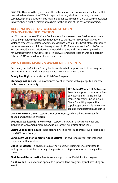\$268,000. Thanks to the generosity of local businesses and individuals, the Fix the Flats campaign has allowed the YWCA to replace flooring, window coverings, kitchen cabinets, lighting, bathroom fixtures and appliances in each of the 11 apartments. Later in November, a brick dedication was held for the donors of the renovation project.

#### **ALTERNATIVES TO VIOLENCE KITCHEN RENOVATION DEDICATION**

In 2011, during the YWCA's Chefs Cooking for a Cause event, over 30 donors answered the call to provide much-needed renovations to the kitchen in our Alternatives to Violence emergency shelter for domestic violence victims – the heart of this temporary home for women and children fleeing abuse. In 2012, members of the South Central Wisconsin Builders Association volunteered their time and talent to complete the renovations within a few days' time! The newly remodeled kitchen was dedicated in February 2015 with a donor plaque for all to see.

#### **2015 FUNDRAISING & AWARENESS EVENTS**

Each year, the YWCA Rock County holds events to help support each of the programs, both as fundraisers and awareness events. Here are some of them…

**Family Fun Night** - supports our Child Care Program.

**Stand Against Racism** - is an awareness event on racism with a pledge to eliminate racism in our community.



**40th Annual Women of Distinction Awards** – supports our Alternatives to Violence and Transitions for Women programs, including our Give a Gal a Lift program that supplies gas only cards to women seeking transportation assistance.

**CARE House Golf Open** - supports our CARE House, a child advocacy center for abused and neglected children.

**9th Annual Walk A Mile in Her Shoes** - supports our Alternatives to Violence and Transitions for Women programs and is our largest fundraiser of the year.

**Chef's Cookin' for a Cause** – held biennually, this event supports all five programs at the YWCA Rock County.

**Candlelight Vigil for Domestic Abuse Victims** – an awareness event remembering those who suffer in silence.

**Dudes for Diapers** – a diverse group of individuals, including men, committed to ending domestic violence through the provision of diapers for mothers living in the shelter.

**First Annual Racial Justice Conference** – supports our Racial Justice program.

**No Show Ball** – our year end appeal to support all five programs by not attending an event.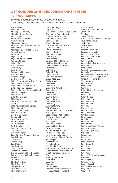#### **WE THANK OUR GENEROUS DONORS AND SPONSORS FOR YOUR SUPPORT.**

Below is a partial list of those at \$100 and above. Due to the large number of donors, not all donors names can be included in this report.

A. Paul Owen, Jr. AAUW Janesville ABC Supply Company Abundant Grace Church Adam Briggs Airproducts Performance Manufacturing Alan & Kari Reincke Albert and Nancy Hansen Bennett Alice Wilson Alliant Energy Foundation, Inc. Amber Krogman Amy Carey Angela Moore Angus Young Associates Ann Duesterbeck Baker Tilly Bank of Milton Barb Kelley Barb Smith Barbara and Bill Boyd Barbara Callahan Barbara George Becker Law Office, S.C. Beloit Convention & Visitors Bureau Beloit Health System Beloit Junior Woman's Club Beloit Regional Hospice Benevity Community Impact Fund Bernard Tangelder Beth Hanthorn Betty Mrdjenovich Bill Gilmore Blackhawk Community Credit Union Blackhawk Technical College Blain's Farm & Fleet Bliss Communications BMO Harris Bank Bob and Linda Paull Bonnie Miller Boyd Consulting Group Brennan Steil S.C. Brian Zeilinger Bridgitte Widner Buckhorn Supper Club Camilla Owen Candy Thompson Cargill United Methodist Church Carol Chapin Carol Goelzer Carol Herzig Carol Tidwell Carolyn Butts Caryn Oleson Cassandra Twardzik Central Lutheran Church - CLCW Central Lutheran Church Women's Auxiliary Chambers & Owen Charles Mowbray Cherie Farrell Cheryl Messina Christina Tuescher Christine Barwick

Christine Glasgow City of Janesville Claremont S. Jackman Foundation Community Foundation of Southern Wisconsin, Inc. Continental Fire Adjusters County of Rock Crusita Barrios Curt A and Debra A Vrotsos Cynthia Ilseman Daniel Oldenburg Danielle Oleston Data Dimensions Dave Hagen Dave Warren David and Cheryl Peterson David and Kathleen Arndt David and Rebecca Robinson David Fleig Deb Kolste Deborah Fisher Debra Twardzik DeGarmo Plumbing Degas Dogs, LLC Denise Quade Denise Webb Dennis Alt Denny and Karen Reese Derek Greene Derek Hahn Diana Callope Dianne Behm Donald Saevre Donna Reinardy Duke Kelly Dwayne Murphy E&D Waterworks E&K's Barbell Club, LLC -Crossfit E.R. Wagner East Point Sportz Pub LLC. Elaine and Rod Schultz Elise Wileman Elle Siegert Eric Fladhammer Essential Ingredients Extreme Fitness F.J. Turner High School Fairbanks Morse Engine Faith Community Church Faith Lutheran Church Women Faye Dinger Fern Michaels Fetch Graphics First Baptist Church First Community Bank of Milton First Lutheran Church Women First National Bank and Trust Company Flooring & More, Inc. Fred Terry Gary Dulin Gary Groelle Gloria Ziegler Gordie Boucher Ford Lincoln Mercury Mazda of Janesville

Gordon Woodrich Greater Beloit Chamber of Commerce Greg Long Hagen CPA, LLC Harvesters Church of Rock County Haye Dental Group Heidi Grafft Heidi Rossiter HUFCOR Impact Confections Jack and Joan Malin James (Jim) and Kristin James and Linda Wolff James Farrell Jan Carwardine Jane and Charles Stevenson Jane Pols Jane Rowley Janesville Conservation Club, Inc. Janesville Elks Ladies Janesville Home and Garden Club Janesville Moose Lodge #197 Janesville Morning Rotary Foundation, Inc. Janis Roethe Jean Austin Jean Jensen Jeff and Gwen Hazekamp Jeff Hyder Jeff Williams Jeffery Neises Jeffrey Kersten Jennifer Revels Jennifer Thomas Jerry Ray Jessica Locher Jessica Schock Jim and Lisa Kim Jim Hutchinson Jim Johnson Jim Lyke Jim McMullen Jim Tibbetts Joanne and Robert Kennedy Joanne Anderson JoDee George Nifong Joe Arreola Joe Jimenez Joe Sanks Joe Treinen John Anderson John Beckord John Haye John Janes John Scott John Wong Johnson Bank and Johnson Insurance Jon Wangerin Jonathan Linder Joshua Kosnick Judy and Larry McRoberts Judy Aubry Judy Scott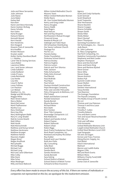Julie and Steve Servantez Julie Johnson Julie Raese June Baker Kailee Ball Kara Barr Karen and Steve Kennedy Karen Goelzer-McKaig Karen Schulte Kari Gates Karla Krueger Katsumi Neeno Kenneth Bessel Kerri Harold Kim Hendricks Kim Hesgard Kiwanis Club of Janesville Kris Koeffler Kristen Moisson Krystal Judah Kutter Harley-Davidson/Buell L.J. Mobley Land Title & Closing Services Laura Baker Lawrence Mitbo Leo J and Susan Johnson Linda Gallaher Linda Nedland Linda O'Leary Linda Reinhardt Lisa Henke Lisa Otis Lissa R. Myhre Loren Fellows Lori Paulson Lori Wetzel Madelyn Co., Inc. Madge and Bill Murphy Maggie Miller Main Street Saloon Marcy Weber Maria DeCremer Mark Fladhammer Martha Cruz Mary Holzhauer Mary Kay Ellis Mary Nottingham-Babb Mary R. Long-Shadel Matt & Connie Dewitt Matt Hilton Matt Houfe Matt Kleinschmidt Matthew and Konya Schuh Matthew Heckmann Matthew Krueger Matthew Palmer Maureen Ziegler Megan Brost Megan Knoflicek Mercyhealth Michael Buggs Michael Carr Michael Long Mick and Jane Gilbertson Mike Colby Mike Davis Mike Scher Miles Meidinger Milly and Dave Babcock

Milton United Methodist Church Missons Team Milton United Methodist Women Mollie Myers Mt. Zion United Methodist Women Nancy and Greg Linder Nancy Douglas Nancy Stabb Nate Rogers Neal VanLoo Neil and Kay Deupree Northwestern Mutual-Krueger Financial Group Nowlan & Mouat LLP Oakleigh and Tobin Ryan Ott Schweitzer Distributing Our Savior Lutheran Church Package Pro PacTec LLC Pamela Dailey Parker Foundation Parkview School District Patricia Dooley Patricia Hughes Patricia Larson Patrick and Terri Sitorius Patti Jackson Patty Schumacher Patty Zelm-Emmart Paul Benish Paul McBride Paul Ryan Paul Schulz Paulson Kimball Construction Pepsi Beverages Company Peter and Jennifer Petruzello Petry Chiropractic & Wellness, LLC Phil Ciebell Ralph and Barbara Leonard Randal Golackson Randy Benish Rhyme Business Richard Meier Rick Stahl Rick Tomten River Title Company Riversedge Chiropractic LLC Rob Malewicki Robert and Sandra Schuh Robert Popian Robert Stahurski Robert Urban Robin Riggs Rock Prarie Presbyterian Church Rock Road Companies, Inc. Rowland and Audrey McClellan Roy Hubler Russell and Lauri Steeber Ruth Ann Potts S&J Consulting Sally Bean Sandi Molski Sandra Bach Sandra Hendricks Sandy Bennett Sara Gehrig School District of Beloit School District of Beloit Turner Schwartz & Shea Insurance

Agency Scott and Cindy Fairbanks Scott Semrad Scott Shepherd Scott Trepanitis Shar Hermanson Sharon Bucklin Sharon Coogan Sharon Schaefer Shawn Smith Sheila Hiller Shelly Weber Sherri Stumpf Sherri Thompson Sonnetag Foundation Ltd. SSI Technologies, Inc. - Dave & Judy Baum St. John Lutheran St. Mary Congregation StarTech Computing, Inc. Stateline Community Foundation Stephanie and Bob Lueder Stephen Thompson Steve and Dee Kerchoff Steve and Karen King Steve and Marlene Bysted Steve Grover Steve Silha Steven Kopp Steven Kosnick Stokes Pub Summit Credit Union Susan Mullen Susan Sellman Swisher International Tanya Kimble Tara Maenner The Grainger Foundation The Payroll Company The Realty Group of South Central WI, LLC Thomas and Lisa Peterson Thomas V and Arra Lasse Tim Silha Timothy F. Cullen Timothy Roberts Tina and Mark Lorenz Tom and Susan Neuenschwander TPC HR, LLC Trish and Jeff Adee Trish Arreazola United Methodist Womens Unit-Cargill United Methodist Church United Steel Workers Local 1533 Upal Sengupta Val and Joe Eagan Vernon and Tracy Tronnes Viking Electric Supply, Inc. Visit Beloit Vitech International Walmart Warren and Judith Kukla Wegner CPAs Will and Marti Everts William Meiss Williams Charity Fund/UAW International Zonta Club of Janesville

Every effort has been made to ensure the accuracy of this list. If there are names of individuals or companies not represented on this list, we apologize for the inadvertent omission.